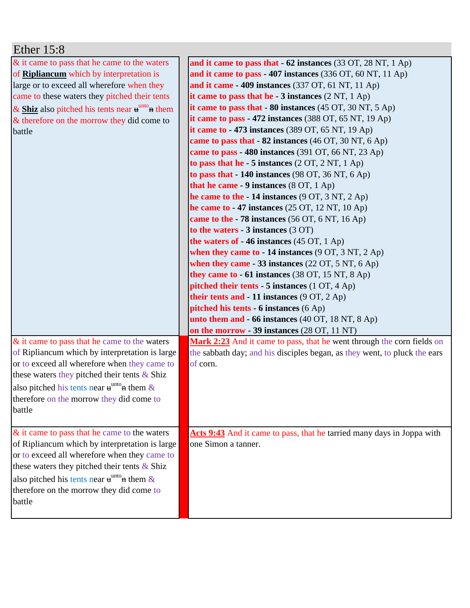| Ether $15:8$                                                         |                                                                             |
|----------------------------------------------------------------------|-----------------------------------------------------------------------------|
| & it came to pass that he came to the waters                         | and it came to pass that - 62 instances (33 OT, 28 NT, 1 Ap)                |
| of <b>Ripliancum</b> which by interpretation is                      | and it came to pass - 407 instances (336 OT, 60 NT, 11 Ap)                  |
| large or to exceed all wherefore when they                           | and it came $-409$ instances (337 OT, 61 NT, 11 Ap)                         |
| came to these waters they pitched their tents                        | it came to pass that he - $3$ instances $(2 \text{ NT}, 1 \text{ Ap})$      |
| & Shiz also pitched his tents near $\mathbf{u}^{\text{unto}}$ a them | it came to pass that $-80$ instances (45 OT, 30 NT, 5 Ap)                   |
| & therefore on the morrow they did come to                           | it came to pass - 472 instances $(388$ OT, $65$ NT, $19$ Ap)                |
| battle                                                               | it came to - 473 instances $(389$ OT, $65$ NT, $19$ Ap)                     |
|                                                                      | came to pass that - 82 instances (46 OT, 30 NT, 6 Ap)                       |
|                                                                      | came to pass $-480$ instances (391 OT, 66 NT, 23 Ap)                        |
|                                                                      | to pass that he $-5$ instances $(2 OT, 2 NT, 1 Ap)$                         |
|                                                                      | to pass that $-140$ instances (98 OT, 36 NT, 6 Ap)                          |
|                                                                      | that he came - 9 instances (8 OT, 1 Ap)                                     |
|                                                                      | he came to the $-14$ instances (9 OT, 3 NT, 2 Ap)                           |
|                                                                      | he came to $-47$ instances (25 OT, 12 NT, 10 Ap)                            |
|                                                                      | came to the $-78$ instances (56 OT, 6 NT, 16 Ap)                            |
|                                                                      | to the waters - 3 instances (3 OT)                                          |
|                                                                      | the waters of - 46 instances (45 OT, 1 Ap)                                  |
|                                                                      | when they came to $-14$ instances (9 OT, 3 NT, 2 Ap)                        |
|                                                                      | when they came - 33 instances $(22 \text{ OT}, 5 \text{ NT}, 6 \text{ Ap})$ |
|                                                                      | they came to $-61$ instances (38 OT, 15 NT, 8 Ap)                           |
|                                                                      | pitched their tents - 5 instances (1 OT, 4 Ap)                              |
|                                                                      | their tents and $-11$ instances $(9 \text{ OT}, 2 \text{ Ap})$              |
|                                                                      | <b>pitched his tents - 6 instances</b> (6 Ap)                               |
|                                                                      | unto them and - 66 instances (40 OT, 18 NT, 8 Ap)                           |
|                                                                      | on the morrow - 39 instances (28 OT, 11 NT)                                 |
| $&$ it came to pass that he came to the waters                       | Mark 2:23 And it came to pass, that he went through the corn fields on      |
| of Ripliancum which by interpretation is large                       | the sabbath day; and his disciples began, as they went, to pluck the ears   |
| or to exceed all wherefore when they came to                         | of corn.                                                                    |
| these waters they pitched their tents $&$ Shiz                       |                                                                             |
| also pitched his tents near $\mathbf{u}^{\text{unto}}$ at them $\&$  |                                                                             |
| therefore on the morrow they did come to                             |                                                                             |
| battle                                                               |                                                                             |
|                                                                      |                                                                             |
| & it came to pass that he came to the waters                         | Acts 9:43 And it came to pass, that he tarried many days in Joppa with      |
| of Ripliancum which by interpretation is large                       | one Simon a tanner.                                                         |
| or to exceed all wherefore when they came to                         |                                                                             |
| these waters they pitched their tents $\&$ Shiz                      |                                                                             |
| also pitched his tents near $\mathbf{u}^{\text{unto}}$ them &        |                                                                             |
| therefore on the morrow they did come to                             |                                                                             |
| battle                                                               |                                                                             |
|                                                                      |                                                                             |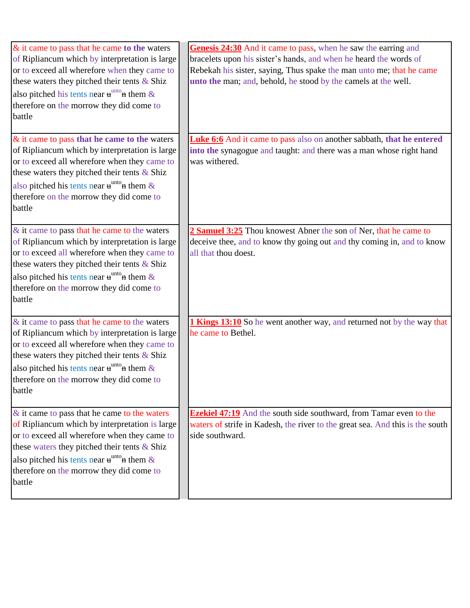| $&$ it came to pass that he came to the waters<br>of Ripliancum which by interpretation is large<br>or to exceed all wherefore when they came to<br>these waters they pitched their tents & Shiz<br>also pitched his tents near $\mathbf{u}^{\text{unto}}$ at them &<br>therefore on the morrow they did come to<br>battle       | Genesis 24:30 And it came to pass, when he saw the earring and<br>bracelets upon his sister's hands, and when he heard the words of<br>Rebekah his sister, saying, Thus spake the man unto me; that he came<br>unto the man; and, behold, he stood by the camels at the well. |
|----------------------------------------------------------------------------------------------------------------------------------------------------------------------------------------------------------------------------------------------------------------------------------------------------------------------------------|-------------------------------------------------------------------------------------------------------------------------------------------------------------------------------------------------------------------------------------------------------------------------------|
| $\&$ it came to pass that he came to the waters<br>of Ripliancum which by interpretation is large<br>or to exceed all wherefore when they came to<br>these waters they pitched their tents & Shiz<br>also pitched his tents near $\mathbf{u}^{\text{unto}}$ at them &<br>therefore on the morrow they did come to<br>battle      | Luke 6:6 And it came to pass also on another sabbath, that he entered<br>into the synagogue and taught: and there was a man whose right hand<br>was withered.                                                                                                                 |
| & it came to pass that he came to the waters<br>of Ripliancum which by interpretation is large<br>or to exceed all wherefore when they came to<br>these waters they pitched their tents & Shiz<br>also pitched his tents near $\mathbf{u}^{\text{unto}}$ at them &<br>therefore on the morrow they did come to<br>battle         | 2 Samuel 3:25 Thou knowest Abner the son of Ner, that he came to<br>deceive thee, and to know thy going out and thy coming in, and to know<br>all that thou doest.                                                                                                            |
| & it came to pass that he came to the waters<br>of Ripliancum which by interpretation is large<br>or to exceed all wherefore when they came to<br>these waters they pitched their tents $&$ Shiz<br>also pitched his tents near $\mathbf{u}^{\text{unto}}$ them &<br>therefore on the morrow they did come to<br>battle          | <b>1 Kings 13:10</b> So he went another way, and returned not by the way that<br>he came to Bethel.                                                                                                                                                                           |
| $\&$ it came to pass that he came to the waters<br>of Ripliancum which by interpretation is large<br>or to exceed all wherefore when they came to<br>these waters they pitched their tents $&$ Shiz<br>also pitched his tents near $\mathbf{u}^{\text{unto}}$ at them $\&$<br>therefore on the morrow they did come to<br>battle | <b>Ezekiel 47:19</b> And the south side southward, from Tamar even to the<br>waters of strife in Kadesh, the river to the great sea. And this is the south<br>side southward.                                                                                                 |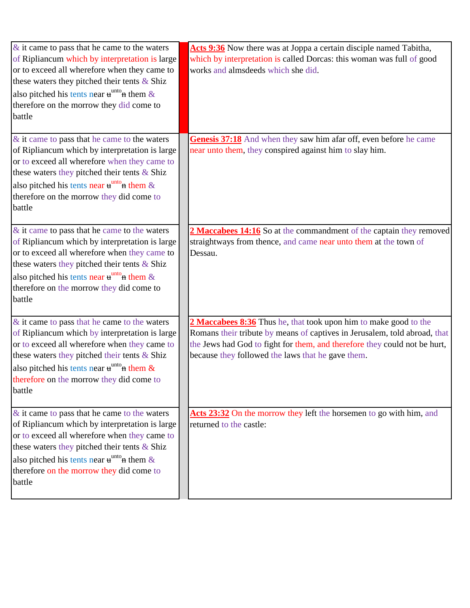| $\&$ it came to pass that he came to the waters<br>of Ripliancum which by interpretation is large<br>or to exceed all wherefore when they came to<br>these waters they pitched their tents & Shiz<br>also pitched his tents near $\mathbf{u}^{\text{unto}}$ at them &<br>therefore on the morrow they did come to<br>battle | Acts 9:36 Now there was at Joppa a certain disciple named Tabitha,<br>which by interpretation is called Dorcas: this woman was full of good<br>works and almsdeeds which she did.                                                                                               |
|-----------------------------------------------------------------------------------------------------------------------------------------------------------------------------------------------------------------------------------------------------------------------------------------------------------------------------|---------------------------------------------------------------------------------------------------------------------------------------------------------------------------------------------------------------------------------------------------------------------------------|
| $\&$ it came to pass that he came to the waters<br>of Ripliancum which by interpretation is large<br>or to exceed all wherefore when they came to<br>these waters they pitched their tents $&$ Shiz<br>also pitched his tents near $\mathbf{u}^{\text{unto}}$ them &<br>therefore on the morrow they did come to<br>battle  | Genesis 37:18 And when they saw him afar off, even before he came<br>near unto them, they conspired against him to slay him.                                                                                                                                                    |
| $\&$ it came to pass that he came to the waters<br>of Ripliancum which by interpretation is large<br>or to exceed all wherefore when they came to<br>these waters they pitched their tents & Shiz<br>also pitched his tents near $\mathbf{u}^{\text{unto}}$ them &<br>therefore on the morrow they did come to<br>battle    | 2 Maccabees 14:16 So at the commandment of the captain they removed<br>straightways from thence, and came near unto them at the town of<br>Dessau.                                                                                                                              |
| & it came to pass that he came to the waters<br>of Ripliancum which by interpretation is large<br>or to exceed all wherefore when they came to<br>these waters they pitched their tents & Shiz<br>also pitched his tents near $\mathbf{u}^{\text{unto}}$ at them &<br>therefore on the morrow they did come to<br>battle    | 2 Maccabees 8:36 Thus he, that took upon him to make good to the<br>Romans their tribute by means of captives in Jerusalem, told abroad, that<br>the Jews had God to fight for them, and therefore they could not be hurt,<br>because they followed the laws that he gave them. |
| $\&$ it came to pass that he came to the waters<br>of Ripliancum which by interpretation is large<br>or to exceed all wherefore when they came to<br>these waters they pitched their tents & Shiz<br>also pitched his tents near $\mathbf{u}^{\text{unto}}$ them &<br>therefore on the morrow they did come to<br>battle    | Acts 23:32 On the morrow they left the horsemen to go with him, and<br>returned to the castle:                                                                                                                                                                                  |